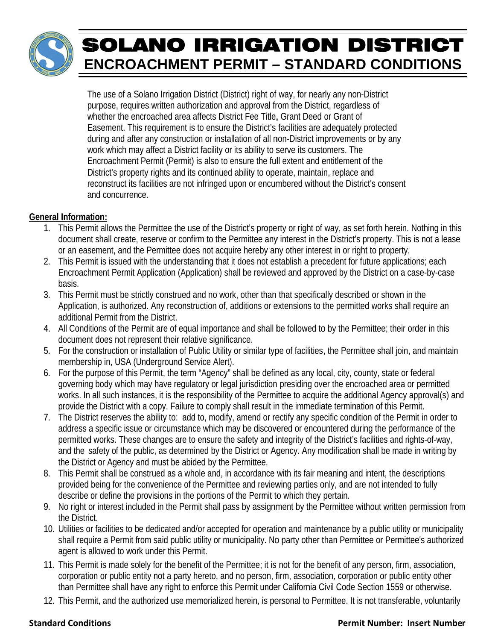# SOLANO IRRIGATION DISTRICT **ENCROACHMENT PERMIT – STANDARD CONDITIONS**

The use of a Solano Irrigation District (District) right of way, for nearly any non-District purpose, requires written authorization and approval from the District, regardless of whether the encroached area affects District Fee Title, Grant Deed or Grant of Easement. This requirement is to ensure the District's facilities are adequately protected during and after any construction or installation of all non-District improvements or by any work which may affect a District facility or its ability to serve its customers. The Encroachment Permit (Permit) is also to ensure the full extent and entitlement of the District's property rights and its continued ability to operate, maintain, replace and reconstruct its facilities are not infringed upon or encumbered without the District's consent and concurrence.

# **General Information:**

- 1. This Permit allows the Permittee the use of the District's property or right of way, as set forth herein. Nothing in this document shall create, reserve or confirm to the Permittee any interest in the District's property. This is not a lease or an easement, and the Permittee does not acquire hereby any other interest in or right to property.
- 2. This Permit is issued with the understanding that it does not establish a precedent for future applications; each Encroachment Permit Application (Application) shall be reviewed and approved by the District on a case-by-case basis.
- 3. This Permit must be strictly construed and no work, other than that specifically described or shown in the Application, is authorized. Any reconstruction of, additions or extensions to the permitted works shall require an additional Permit from the District.
- 4. All Conditions of the Permit are of equal importance and shall be followed to by the Permittee; their order in this document does not represent their relative significance.
- 5. For the construction or installation of Public Utility or similar type of facilities, the Permittee shall join, and maintain membership in, USA (Underground Service Alert).
- 6. For the purpose of this Permit, the term "Agency" shall be defined as any local, city, county, state or federal governing body which may have regulatory or legal jurisdiction presiding over the encroached area or permitted works. In all such instances, it is the responsibility of the Permittee to acquire the additional Agency approval(s) and provide the District with a copy. Failure to comply shall result in the immediate termination of this Permit.
- 7. The District reserves the ability to: add to, modify, amend or rectify any specific condition of the Permit in order to address a specific issue or circumstance which may be discovered or encountered during the performance of the permitted works. These changes are to ensure the safety and integrity of the District's facilities and rights-of-way, and the safety of the public, as determined by the District or Agency. Any modification shall be made in writing by the District or Agency and must be abided by the Permittee.
- 8. This Permit shall be construed as a whole and, in accordance with its fair meaning and intent, the descriptions provided being for the convenience of the Permittee and reviewing parties only, and are not intended to fully describe or define the provisions in the portions of the Permit to which they pertain.
- 9. No right or interest included in the Permit shall pass by assignment by the Permittee without written permission from the District.
- 10. Utilities or facilities to be dedicated and/or accepted for operation and maintenance by a public utility or municipality Utilities or facilities to be dedicated and/or accepted for operation and maintenance by a public utility or municipality<br>shall require a Permit from said public utility or municipality. No party other than Permittee or Pe agent is allowed to work under this Permit.
- 11. This Permit is made solely for the benefit of the Permittee; it is not for the benefit of any person, firm, association, corporation or public entity not a party hereto, and no person, firm, association, corporation or public entity other than Permittee shall have any right to enforce this Permit under California Civil Code Section 1559 or otherwise.
- 12. This Permit, and the authorized use memorialized herein, is personal to Permittee. It is not transferable, voluntarily

# **Stan ndard Condit tions**

# **Permit Number: Insert Number**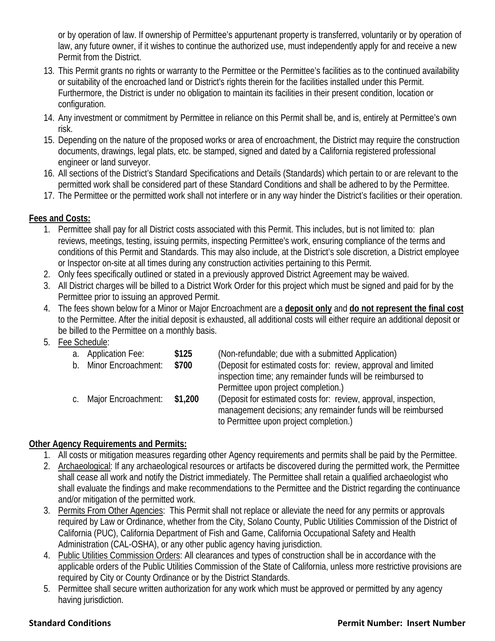or by operation of law. If ownership of Permittee's appurtenant property is transferred, voluntarily or by operation of law, any future owner, if it wishes to continue the authorized use, must independently apply for and receive a new Permit from the District.

- 13. This Permit grants no rights or warranty to the Permittee or the Permittee's facilities as to the continued availability or suitability of the encroached land or District's rights therein for the facilities installed under this Permit. Furthermore, the District is under no obligation to maintain its facilities in their present condition, location or configuration.
- 14. Any investment or commitment by Permittee in reliance on this Permit shall be, and is, entirely at Permittee's own risk.
- 15. Depending on the nature of the proposed works or area of encroachment, the District may require the construction documents, drawings, legal plats, etc. be stamped, signed and dated by a California registered professional engineer or land surveyor.
- 16. All sections of the District's Standard Specifications and Details (Standards) which pertain to or are relevant to the permitted work shall be considered part of these Standard Conditions and shall be adhered to by the Permittee.
- 17. The Permittee or the permitted work shall not interfere or in any way hinder the District's facilities or their operation.

# **Fees and Costs:**

- 1. Permittee shall pay for all District costs associated with this Permit. This includes, but is not limited to: plan reviews, meetings, testing, issuing permits, inspecting Permittee's work, ensuring compliance of the terms and conditions of this Permit and Standards. This may also include, at the District's sole discretion, a District employee or Inspector on-site at all times during any construction activities pertaining to this Permit.
- 2. Only fees specifically outlined or stated in a previously approved District Agreement may be waived.
- 3. All District charges will be billed to a District Work Order for this project which must be signed and paid for by the Permittee prior to issuing an approved Permit.
- 4. The fees shown below for a Minor or Major Encroachment are a **deposit only** and **do not represent the final cost**  to the Permittee. After the initial deposit is exhausted, all additional costs will either require an additional deposit or be billed to the Permittee on a monthly basis.

# 5. Fee Schedule:

| a.          | <b>Application Fee:</b>    | \$125   | (Non-refundable; due with a submitted Application)              |
|-------------|----------------------------|---------|-----------------------------------------------------------------|
| $b_{\cdot}$ | <b>Minor Encroachment:</b> | \$700   | (Deposit for estimated costs for: review, approval and limited  |
|             |                            |         | inspection time; any remainder funds will be reimbursed to      |
|             |                            |         | Permittee upon project completion.)                             |
|             | c. Major Encroachment:     | \$1,200 | (Deposit for estimated costs for: review, approval, inspection, |
|             |                            |         | management decisions; any remainder funds will be reimbursed    |
|             |                            |         | to Permittee upon project completion.)                          |
|             |                            |         |                                                                 |

# **Other Agency Requirements and Permits:**

- 1. All costs or mitigation measures regarding other Agency requirements and permits shall be paid by the Permittee.
- 2. Archaeological: If any archaeological resources or artifacts be discovered during the permitted work, the Permittee shall cease all work and notify the District immediately. The Permittee shall retain a qualified archaeologist who shall evaluate the findings and make recommendations to the Permittee and the District regarding the continuance and/or mitigation of the permitted work.
- 3. Permits From Other Agencies: This Permit shall not replace or alleviate the need for any permits or approvals required by Law or Ordinance, whether from the City, Solano County, Public Utilities Commission of the District of California (PUC), California Department of Fish and Game, California Occupational Safety and Health Administration (CAL-OSHA), or any other public agency having jurisdiction.
- 4. Public Utilities Commission Orders: All clearances and types of construction shall be in accordance with the applicable orders of the Public Utilities Commission of the State of California, unless more restrictive provisions are required by City or County Ordinance or by the District Standards.
- 5. Permittee shall secure written authorization for any work which must be approved or permitted by any agency having jurisdiction.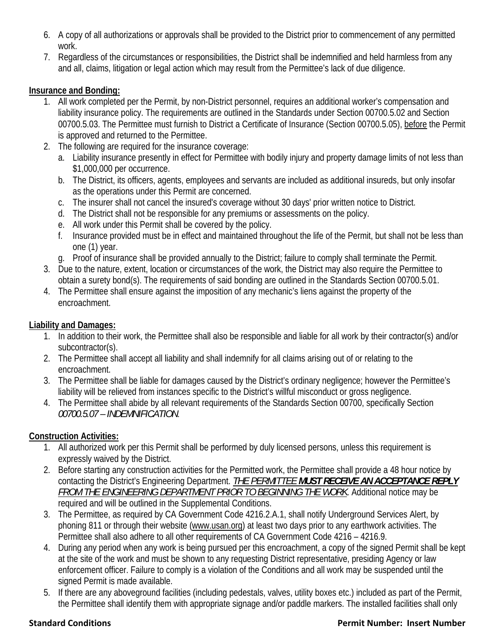- 6. A copy of all authorizations or approvals shall be provided to the District prior to commencement of any permitted work.
- 7. Regardless of the circumstances or responsibilities, the District shall be indemnified and held harmless from any and all, claims, litigation or legal action which may result from the Permittee's lack of due diligence.

# **Insurance and Bonding:**

- 1. All work completed per the Permit, by non-District personnel, requires an additional worker's compensation and liability insurance policy. The requirements are outlined in the Standards under Section 00700.5.02 and Section 00700.5.03. The Permittee must furnish to District a Certificate of Insurance (Section 00700.5.05), before the Permit is approved and returned to the Permittee.
- 2. The following are required for the insurance coverage:
	- a. Liability insurance presently in effect for Permittee with bodily injury and property damage limits of not less than \$1,000,000 per occurrence.
	- b. The District, its officers, agents, employees and servants are included as additional insureds, but only insofar as the operations under this Permit are concerned.
	- c. The insurer shall not cancel the insured's coverage without 30 days' prior written notice to District.
	- d. The District shall not be responsible for any premiums or assessments on the policy.
	- e. All work under this Permit shall be covered by the policy.
	- f. Insurance provided must be in effect and maintained throughout the life of the Permit, but shall not be less than one (1) year.
	- g. Proof of insurance shall be provided annually to the District; failure to comply shall terminate the Permit.
- 3. Due to the nature, extent, location or circumstances of the work, the District may also require the Permittee to obtain a surety bond(s). The requirements of said bonding are outlined in the Standards Section 00700.5.01.
- 4. The Permittee shall ensure against the imposition of any mechanic's liens against the property of the encroachment.

### **Liability and Damages:**

- 1. In addition to their work, the Permittee shall also be responsible and liable for all work by their contractor(s) and/or subcontractor(s).
- 2. The Permittee shall accept all liability and shall indemnify for all claims arising out of or relating to the encroachment.
- 3. The Permittee shall be liable for damages caused by the District's ordinary negligence; however the Permittee's liability will be relieved from instances specific to the District's willful misconduct or gross negligence.
- 4. The Permittee shall abide by all relevant requirements of the Standards Section 00700, specifically Section *00700.5.07 – INDEMNIFICATION*.

# **Construction Activities:**

- 1. All authorized work per this Permit shall be performed by duly licensed persons, unless this requirement is expressly waived by the District.
- 2. Before starting any construction activities for the Permitted work, the Permittee shall provide a 48 hour notice by contacting the District's Engineering Department. *THE PERMITTEE MUST RECEIVE AN ACCEPTANCE REPLY FROM THE ENGINEERING DEPARTMENT PRIOR TO BEGINNING THE WORK*. Additional notice may be required and will be outlined in the Supplemental Conditions.
- 3. The Permittee, as required by CA Government Code 4216.2.A.1, shall notify Underground Services Alert, by phoning 811 or through their website (www.usan.org) at least two days prior to any earthwork activities. The Permittee shall also adhere to all other requirements of CA Government Code 4216 – 4216.9.
- 4. During any period when any work is being pursued per this encroachment, a copy of the signed Permit shall be kept at the site of the work and must be shown to any requesting District representative, presiding Agency or law enforcement officer. Failure to comply is a violation of the Conditions and all work may be suspended until the signed Permit is made available.
- 5. If there are any aboveground facilities (including pedestals, valves, utility boxes etc.) included as part of the Permit, the Permittee shall identify them with appropriate signage and/or paddle markers. The installed facilities shall only

### **Standard Conditions Permit Number: Insert Number**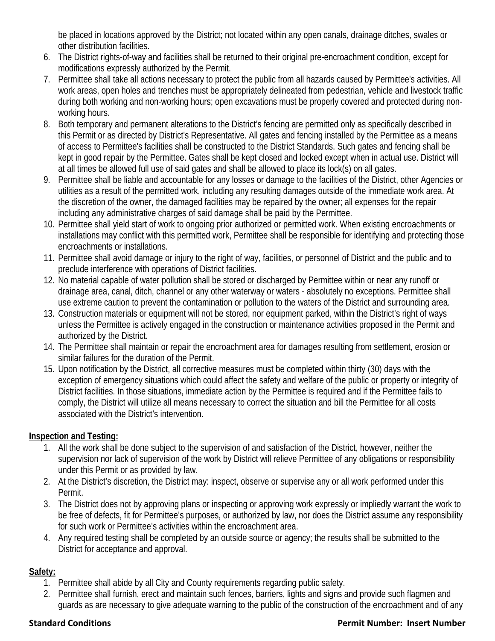be placed in locations approved by the District; not located within any open canals, drainage ditches, swales or other distribution facilities.

- 6. The District rights-of-way and facilities shall be returned to their original pre-encroachment condition, except for modifications expressly authorized by the Permit.
- 7. Permittee shall take all actions necessary to protect the public from all hazards caused by Permittee's activities. All work areas, open holes and trenches must be appropriately delineated from pedestrian, vehicle and livestock traffic during both working and non-working hours; open excavations must be properly covered and protected during nonworking hours.
- 8. Both temporary and permanent alterations to the District's fencing are permitted only as specifically described in this Permit or as directed by District's Representative. All gates and fencing installed by the Permittee as a means of access to Permittee's facilities shall be constructed to the District Standards. Such gates and fencing shall be kept in good repair by the Permittee. Gates shall be kept closed and locked except when in actual use. District will at all times be allowed full use of said gates and shall be allowed to place its lock(s) on all gates.
- 9. Permittee shall be liable and accountable for any losses or damage to the facilities of the District, other Agencies or utilities as a result of the permitted work, including any resulting damages outside of the immediate work area. At the discretion of the owner, the damaged facilities may be repaired by the owner; all expenses for the repair including any administrative charges of said damage shall be paid by the Permittee.
- 10. Permittee shall yield start of work to ongoing prior authorized or permitted work. When existing encroachments or installations may conflict with this permitted work, Permittee shall be responsible for identifying and protecting those encroachments or installations.
- 11. Permittee shall avoid damage or injury to the right of way, facilities, or personnel of District and the public and to preclude interference with operations of District facilities.
- 12. No material capable of water pollution shall be stored or discharged by Permittee within or near any runoff or drainage area, canal, ditch, channel or any other waterway or waters - absolutely no exceptions. Permittee shall use extreme caution to prevent the contamination or pollution to the waters of the District and surrounding area.
- 13. Construction materials or equipment will not be stored, nor equipment parked, within the District's right of ways unless the Permittee is actively engaged in the construction or maintenance activities proposed in the Permit and authorized by the District.
- 14. The Permittee shall maintain or repair the encroachment area for damages resulting from settlement, erosion or similar failures for the duration of the Permit.
- 15. Upon notification by the District, all corrective measures must be completed within thirty (30) days with the exception of emergency situations which could affect the safety and welfare of the public or property or integrity of District facilities. In those situations, immediate action by the Permittee is required and if the Permittee fails to comply, the District will utilize all means necessary to correct the situation and bill the Permittee for all costs associated with the District's intervention.

# **Inspection and Testing:**

- 1. All the work shall be done subject to the supervision of and satisfaction of the District, however, neither the supervision nor lack of supervision of the work by District will relieve Permittee of any obligations or responsibility under this Permit or as provided by law.
- 2. At the District's discretion, the District may: inspect, observe or supervise any or all work performed under this Permit.
- 3. The District does not by approving plans or inspecting or approving work expressly or impliedly warrant the work to be free of defects, fit for Permittee's purposes, or authorized by law, nor does the District assume any responsibility for such work or Permittee's activities within the encroachment area.
- 4. Any required testing shall be completed by an outside source or agency; the results shall be submitted to the District for acceptance and approval.

# **Safety:**

- 1. Permittee shall abide by all City and County requirements regarding public safety.
- 2. Permittee shall furnish, erect and maintain such fences, barriers, lights and signs and provide such flagmen and guards as are necessary to give adequate warning to the public of the construction of the encroachment and of any

# **Standard Conditions Permit Number: Insert Number**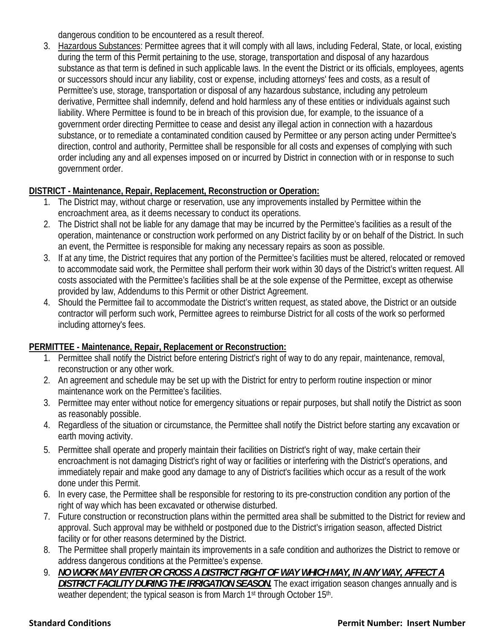dangerous condition to be encountered as a result thereof.

3. Hazardous Substances: Permittee agrees that it will comply with all laws, including Federal, State, or local, existing during the term of this Permit pertaining to the use, storage, transportation and disposal of any hazardous substance as that term is defined in such applicable laws. In the event the District or its officials, employees, agents or successors should incur any liability, cost or expense, including attorneys' fees and costs, as a result of Permittee's use, storage, transportation or disposal of any hazardous substance, including any petroleum derivative, Permittee shall indemnify, defend and hold harmless any of these entities or individuals against such liability. Where Permittee is found to be in breach of this provision due, for example, to the issuance of a government order directing Permittee to cease and desist any illegal action in connection with a hazardous substance, or to remediate a contaminated condition caused by Permittee or any person acting under Permittee's direction, control and authority, Permittee shall be responsible for all costs and expenses of complying with such order including any and all expenses imposed on or incurred by District in connection with or in response to such government order.

# **DISTRICT - Maintenance, Repair, Replacement, Reconstruction or Operation:**

- 1. The District may, without charge or reservation, use any improvements installed by Permittee within the encroachment area, as it deems necessary to conduct its operations.
- 2. The District shall not be liable for any damage that may be incurred by the Permittee's facilities as a result of the operation, maintenance or construction work performed on any District facility by or on behalf of the District. In such an event, the Permittee is responsible for making any necessary repairs as soon as possible.
- 3. If at any time, the District requires that any portion of the Permittee's facilities must be altered, relocated or removed to accommodate said work, the Permittee shall perform their work within 30 days of the District's written request. All costs associated with the Permittee's facilities shall be at the sole expense of the Permittee, except as otherwise provided by law, Addendums to this Permit or other District Agreement.
- 4. Should the Permittee fail to accommodate the District's written request, as stated above, the District or an outside contractor will perform such work, Permittee agrees to reimburse District for all costs of the work so performed including attorney's fees.

# **PERMITTEE - Maintenance, Repair, Replacement or Reconstruction:**

- 1. Permittee shall notify the District before entering District's right of way to do any repair, maintenance, removal, reconstruction or any other work.
- 2. An agreement and schedule may be set up with the District for entry to perform routine inspection or minor maintenance work on the Permittee's facilities.
- 3. Permittee may enter without notice for emergency situations or repair purposes, but shall notify the District as soon as reasonably possible.
- 4. Regardless of the situation or circumstance, the Permittee shall notify the District before starting any excavation or earth moving activity.
- 5. Permittee shall operate and properly maintain their facilities on District's right of way, make certain their encroachment is not damaging District's right of way or facilities or interfering with the District's operations, and immediately repair and make good any damage to any of District's facilities which occur as a result of the work done under this Permit.
- 6. In every case, the Permittee shall be responsible for restoring to its pre-construction condition any portion of the right of way which has been excavated or otherwise disturbed.
- 7. Future construction or reconstruction plans within the permitted area shall be submitted to the District for review and approval. Such approval may be withheld or postponed due to the District's irrigation season, affected District facility or for other reasons determined by the District.
- 8. The Permittee shall properly maintain its improvements in a safe condition and authorizes the District to remove or address dangerous conditions at the Permittee's expense.
- 9. *NO WORK MAY ENTER OR CROSS A DISTRICT RIGHT OF WAY WHICH MAY, IN ANY WAY, AFFECT A DISTRICT FACILITY DURING THE IRRIGATION SEASON.* The exact irrigation season changes annually and is weather dependent; the typical season is from March 1<sup>st</sup> through October 15<sup>th</sup>.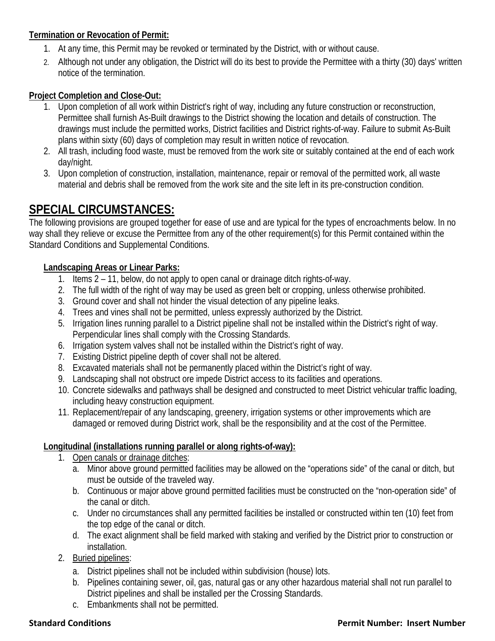# **Termination or Revocation of Permit:**

- 1. At any time, this Permit may be revoked or terminated by the District, with or without cause.
- 2. Although not under any obligation, the District will do its best to provide the Permittee with a thirty (30) days' written notice of the termination.

# **Project Completion and Close-Out:**

- 1. Upon completion of all work within District's right of way, including any future construction or reconstruction, Permittee shall furnish As-Built drawings to the District showing the location and details of construction. The drawings must include the permitted works, District facilities and District rights-of-way. Failure to submit As-Built plans within sixty (60) days of completion may result in written notice of revocation.
- 2. All trash, including food waste, must be removed from the work site or suitably contained at the end of each work day/night.
- 3. Upon completion of construction, installation, maintenance, repair or removal of the permitted work, all waste material and debris shall be removed from the work site and the site left in its pre-construction condition.

# **SPECIAL CIRCUMSTANCES:**

The following provisions are grouped together for ease of use and are typical for the types of encroachments below. In no way shall they relieve or excuse the Permittee from any of the other requirement(s) for this Permit contained within the Standard Conditions and Supplemental Conditions.

# **Landscaping Areas or Linear Parks:**

- 1. Items 2 11, below, do not apply to open canal or drainage ditch rights-of-way.
- 2. The full width of the right of way may be used as green belt or cropping, unless otherwise prohibited.
- 3. Ground cover and shall not hinder the visual detection of any pipeline leaks.
- 4. Trees and vines shall not be permitted, unless expressly authorized by the District.
- 5. Irrigation lines running parallel to a District pipeline shall not be installed within the District's right of way. Perpendicular lines shall comply with the Crossing Standards.
- 6. Irrigation system valves shall not be installed within the District's right of way.
- 7. Existing District pipeline depth of cover shall not be altered.
- 8. Excavated materials shall not be permanently placed within the District's right of way.
- 9. Landscaping shall not obstruct ore impede District access to its facilities and operations.
- 10. Concrete sidewalks and pathways shall be designed and constructed to meet District vehicular traffic loading, including heavy construction equipment.
- 11. Replacement/repair of any landscaping, greenery, irrigation systems or other improvements which are damaged or removed during District work, shall be the responsibility and at the cost of the Permittee.

### **Longitudinal (installations running parallel or along rights-of-way):**

- 1. Open canals or drainage ditches:
	- a. Minor above ground permitted facilities may be allowed on the "operations side" of the canal or ditch, but must be outside of the traveled way.
	- b. Continuous or major above ground permitted facilities must be constructed on the "non-operation side" of the canal or ditch.
	- c. Under no circumstances shall any permitted facilities be installed or constructed within ten (10) feet from the top edge of the canal or ditch.
	- d. The exact alignment shall be field marked with staking and verified by the District prior to construction or installation.
- 2. Buried pipelines:
	- a. District pipelines shall not be included within subdivision (house) lots.
	- b. Pipelines containing sewer, oil, gas, natural gas or any other hazardous material shall not run parallel to District pipelines and shall be installed per the Crossing Standards.
	- c. Embankments shall not be permitted.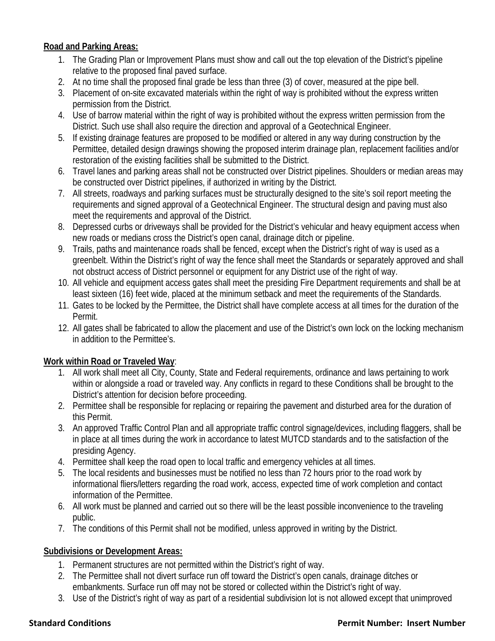# **Road and Parking Areas:**

- 1. The Grading Plan or Improvement Plans must show and call out the top elevation of the District's pipeline relative to the proposed final paved surface.
- 2. At no time shall the proposed final grade be less than three (3) of cover, measured at the pipe bell.
- 3. Placement of on-site excavated materials within the right of way is prohibited without the express written permission from the District.
- 4. Use of barrow material within the right of way is prohibited without the express written permission from the District. Such use shall also require the direction and approval of a Geotechnical Engineer.
- 5. If existing drainage features are proposed to be modified or altered in any way during construction by the Permittee, detailed design drawings showing the proposed interim drainage plan, replacement facilities and/or restoration of the existing facilities shall be submitted to the District.
- 6. Travel lanes and parking areas shall not be constructed over District pipelines. Shoulders or median areas may be constructed over District pipelines, if authorized in writing by the District.
- 7. All streets, roadways and parking surfaces must be structurally designed to the site's soil report meeting the requirements and signed approval of a Geotechnical Engineer. The structural design and paving must also meet the requirements and approval of the District.
- 8. Depressed curbs or driveways shall be provided for the District's vehicular and heavy equipment access when new roads or medians cross the District's open canal, drainage ditch or pipeline.
- 9. Trails, paths and maintenance roads shall be fenced, except when the District's right of way is used as a greenbelt. Within the District's right of way the fence shall meet the Standards or separately approved and shall not obstruct access of District personnel or equipment for any District use of the right of way.
- 10. All vehicle and equipment access gates shall meet the presiding Fire Department requirements and shall be at least sixteen (16) feet wide, placed at the minimum setback and meet the requirements of the Standards.
- 11. Gates to be locked by the Permittee, the District shall have complete access at all times for the duration of the Permit.
- 12. All gates shall be fabricated to allow the placement and use of the District's own lock on the locking mechanism in addition to the Permittee's.

### **Work within Road or Traveled Way**:

- 1. All work shall meet all City, County, State and Federal requirements, ordinance and laws pertaining to work within or alongside a road or traveled way. Any conflicts in regard to these Conditions shall be brought to the District's attention for decision before proceeding.
- 2. Permittee shall be responsible for replacing or repairing the pavement and disturbed area for the duration of this Permit.
- 3. An approved Traffic Control Plan and all appropriate traffic control signage/devices, including flaggers, shall be in place at all times during the work in accordance to latest MUTCD standards and to the satisfaction of the presiding Agency.
- 4. Permittee shall keep the road open to local traffic and emergency vehicles at all times.
- 5. The local residents and businesses must be notified no less than 72 hours prior to the road work by informational fliers/letters regarding the road work, access, expected time of work completion and contact information of the Permittee.
- 6. All work must be planned and carried out so there will be the least possible inconvenience to the traveling public.
- 7. The conditions of this Permit shall not be modified, unless approved in writing by the District.

# **Subdivisions or Development Areas:**

- 1. Permanent structures are not permitted within the District's right of way.
- 2. The Permittee shall not divert surface run off toward the District's open canals, drainage ditches or embankments. Surface run off may not be stored or collected within the District's right of way.
- 3. Use of the District's right of way as part of a residential subdivision lot is not allowed except that unimproved

# **Standard Conditions Permit Number: Insert Number**